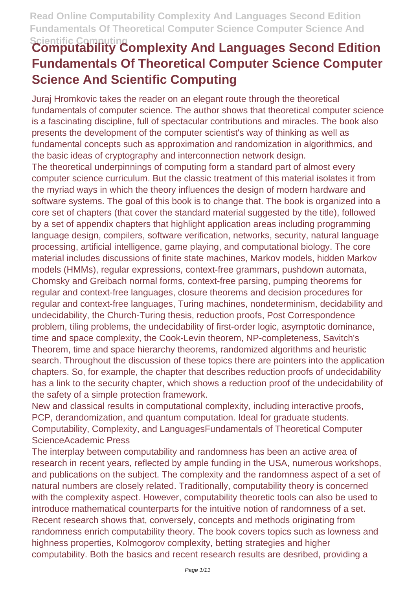# **Scientific Computing Computability Complexity And Languages Second Edition Fundamentals Of Theoretical Computer Science Computer Science And Scientific Computing**

Juraj Hromkovic takes the reader on an elegant route through the theoretical fundamentals of computer science. The author shows that theoretical computer science is a fascinating discipline, full of spectacular contributions and miracles. The book also presents the development of the computer scientist's way of thinking as well as fundamental concepts such as approximation and randomization in algorithmics, and the basic ideas of cryptography and interconnection network design.

The theoretical underpinnings of computing form a standard part of almost every computer science curriculum. But the classic treatment of this material isolates it from the myriad ways in which the theory influences the design of modern hardware and software systems. The goal of this book is to change that. The book is organized into a core set of chapters (that cover the standard material suggested by the title), followed by a set of appendix chapters that highlight application areas including programming language design, compilers, software verification, networks, security, natural language processing, artificial intelligence, game playing, and computational biology. The core material includes discussions of finite state machines, Markov models, hidden Markov models (HMMs), regular expressions, context-free grammars, pushdown automata, Chomsky and Greibach normal forms, context-free parsing, pumping theorems for regular and context-free languages, closure theorems and decision procedures for regular and context-free languages, Turing machines, nondeterminism, decidability and undecidability, the Church-Turing thesis, reduction proofs, Post Correspondence problem, tiling problems, the undecidability of first-order logic, asymptotic dominance, time and space complexity, the Cook-Levin theorem, NP-completeness, Savitch's Theorem, time and space hierarchy theorems, randomized algorithms and heuristic search. Throughout the discussion of these topics there are pointers into the application chapters. So, for example, the chapter that describes reduction proofs of undecidability has a link to the security chapter, which shows a reduction proof of the undecidability of the safety of a simple protection framework.

New and classical results in computational complexity, including interactive proofs, PCP, derandomization, and quantum computation. Ideal for graduate students. Computability, Complexity, and LanguagesFundamentals of Theoretical Computer ScienceAcademic Press

The interplay between computability and randomness has been an active area of research in recent years, reflected by ample funding in the USA, numerous workshops, and publications on the subject. The complexity and the randomness aspect of a set of natural numbers are closely related. Traditionally, computability theory is concerned with the complexity aspect. However, computability theoretic tools can also be used to introduce mathematical counterparts for the intuitive notion of randomness of a set. Recent research shows that, conversely, concepts and methods originating from randomness enrich computability theory. The book covers topics such as lowness and highness properties, Kolmogorov complexity, betting strategies and higher computability. Both the basics and recent research results are desribed, providing a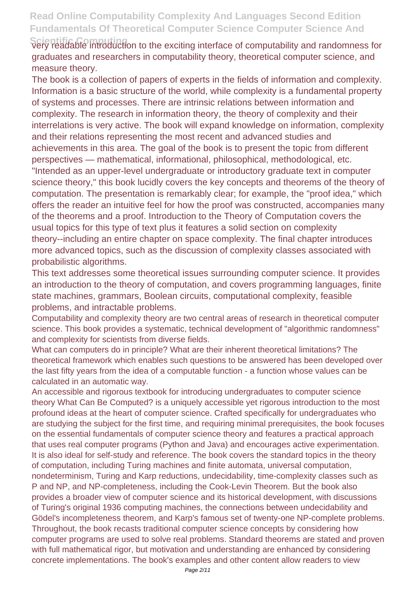Scientific Computing<br>Very readable introduction to the exciting interface of computability and randomness for graduates and researchers in computability theory, theoretical computer science, and measure theory.

The book is a collection of papers of experts in the fields of information and complexity. Information is a basic structure of the world, while complexity is a fundamental property of systems and processes. There are intrinsic relations between information and complexity. The research in information theory, the theory of complexity and their interrelations is very active. The book will expand knowledge on information, complexity and their relations representing the most recent and advanced studies and achievements in this area. The goal of the book is to present the topic from different perspectives — mathematical, informational, philosophical, methodological, etc. "Intended as an upper-level undergraduate or introductory graduate text in computer science theory," this book lucidly covers the key concepts and theorems of the theory of computation. The presentation is remarkably clear; for example, the "proof idea," which offers the reader an intuitive feel for how the proof was constructed, accompanies many of the theorems and a proof. Introduction to the Theory of Computation covers the usual topics for this type of text plus it features a solid section on complexity theory--including an entire chapter on space complexity. The final chapter introduces more advanced topics, such as the discussion of complexity classes associated with probabilistic algorithms.

This text addresses some theoretical issues surrounding computer science. It provides an introduction to the theory of computation, and covers programming languages, finite state machines, grammars, Boolean circuits, computational complexity, feasible problems, and intractable problems.

Computability and complexity theory are two central areas of research in theoretical computer science. This book provides a systematic, technical development of "algorithmic randomness" and complexity for scientists from diverse fields.

What can computers do in principle? What are their inherent theoretical limitations? The theoretical framework which enables such questions to be answered has been developed over the last fifty years from the idea of a computable function - a function whose values can be calculated in an automatic way.

An accessible and rigorous textbook for introducing undergraduates to computer science theory What Can Be Computed? is a uniquely accessible yet rigorous introduction to the most profound ideas at the heart of computer science. Crafted specifically for undergraduates who are studying the subject for the first time, and requiring minimal prerequisites, the book focuses on the essential fundamentals of computer science theory and features a practical approach that uses real computer programs (Python and Java) and encourages active experimentation. It is also ideal for self-study and reference. The book covers the standard topics in the theory of computation, including Turing machines and finite automata, universal computation, nondeterminism, Turing and Karp reductions, undecidability, time-complexity classes such as P and NP, and NP-completeness, including the Cook-Levin Theorem. But the book also provides a broader view of computer science and its historical development, with discussions of Turing's original 1936 computing machines, the connections between undecidability and Gödel's incompleteness theorem, and Karp's famous set of twenty-one NP-complete problems. Throughout, the book recasts traditional computer science concepts by considering how computer programs are used to solve real problems. Standard theorems are stated and proven with full mathematical rigor, but motivation and understanding are enhanced by considering concrete implementations. The book's examples and other content allow readers to view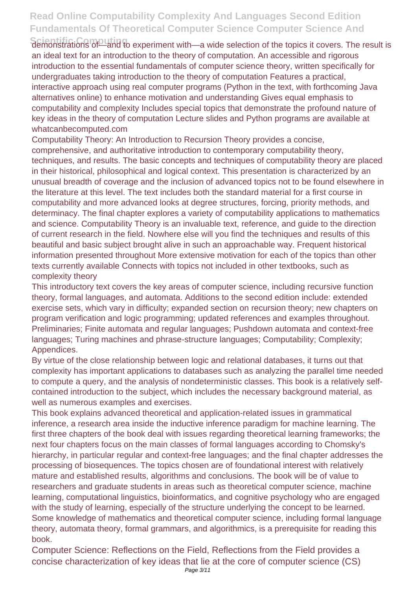Scientific Computing to experiment with—a wide selection of the topics it covers. The result is an ideal text for an introduction to the theory of computation. An accessible and rigorous introduction to the essential fundamentals of computer science theory, written specifically for undergraduates taking introduction to the theory of computation Features a practical, interactive approach using real computer programs (Python in the text, with forthcoming Java alternatives online) to enhance motivation and understanding Gives equal emphasis to computability and complexity Includes special topics that demonstrate the profound nature of key ideas in the theory of computation Lecture slides and Python programs are available at whatcanbecomputed.com

Computability Theory: An Introduction to Recursion Theory provides a concise, comprehensive, and authoritative introduction to contemporary computability theory, techniques, and results. The basic concepts and techniques of computability theory are placed in their historical, philosophical and logical context. This presentation is characterized by an unusual breadth of coverage and the inclusion of advanced topics not to be found elsewhere in the literature at this level. The text includes both the standard material for a first course in computability and more advanced looks at degree structures, forcing, priority methods, and determinacy. The final chapter explores a variety of computability applications to mathematics and science. Computability Theory is an invaluable text, reference, and guide to the direction of current research in the field. Nowhere else will you find the techniques and results of this beautiful and basic subject brought alive in such an approachable way. Frequent historical information presented throughout More extensive motivation for each of the topics than other texts currently available Connects with topics not included in other textbooks, such as complexity theory

This introductory text covers the key areas of computer science, including recursive function theory, formal languages, and automata. Additions to the second edition include: extended exercise sets, which vary in difficulty; expanded section on recursion theory; new chapters on program verification and logic programming; updated references and examples throughout. Preliminaries; Finite automata and regular languages; Pushdown automata and context-free languages; Turing machines and phrase-structure languages; Computability; Complexity; Appendices.

By virtue of the close relationship between logic and relational databases, it turns out that complexity has important applications to databases such as analyzing the parallel time needed to compute a query, and the analysis of nondeterministic classes. This book is a relatively selfcontained introduction to the subject, which includes the necessary background material, as well as numerous examples and exercises.

This book explains advanced theoretical and application-related issues in grammatical inference, a research area inside the inductive inference paradigm for machine learning. The first three chapters of the book deal with issues regarding theoretical learning frameworks; the next four chapters focus on the main classes of formal languages according to Chomsky's hierarchy, in particular regular and context-free languages; and the final chapter addresses the processing of biosequences. The topics chosen are of foundational interest with relatively mature and established results, algorithms and conclusions. The book will be of value to researchers and graduate students in areas such as theoretical computer science, machine learning, computational linguistics, bioinformatics, and cognitive psychology who are engaged with the study of learning, especially of the structure underlying the concept to be learned. Some knowledge of mathematics and theoretical computer science, including formal language theory, automata theory, formal grammars, and algorithmics, is a prerequisite for reading this book.

Computer Science: Reflections on the Field, Reflections from the Field provides a concise characterization of key ideas that lie at the core of computer science (CS) Page 3/11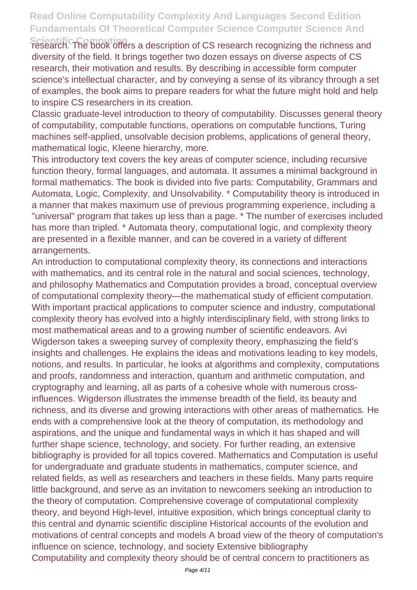Scientific Computing<br>research. The book offers a description of CS research recognizing the richness and diversity of the field. It brings together two dozen essays on diverse aspects of CS research, their motivation and results. By describing in accessible form computer science's intellectual character, and by conveying a sense of its vibrancy through a set of examples, the book aims to prepare readers for what the future might hold and help to inspire CS researchers in its creation.

Classic graduate-level introduction to theory of computability. Discusses general theory of computability, computable functions, operations on computable functions, Turing machines self-applied, unsolvable decision problems, applications of general theory, mathematical logic, Kleene hierarchy, more.

This introductory text covers the key areas of computer science, including recursive function theory, formal languages, and automata. It assumes a minimal background in formal mathematics. The book is divided into five parts: Computability, Grammars and Automata, Logic, Complexity, and Unsolvability. \* Computability theory is introduced in a manner that makes maximum use of previous programming experience, including a "universal" program that takes up less than a page. \* The number of exercises included has more than tripled. \* Automata theory, computational logic, and complexity theory are presented in a flexible manner, and can be covered in a variety of different arrangements.

An introduction to computational complexity theory, its connections and interactions with mathematics, and its central role in the natural and social sciences, technology, and philosophy Mathematics and Computation provides a broad, conceptual overview of computational complexity theory—the mathematical study of efficient computation. With important practical applications to computer science and industry, computational complexity theory has evolved into a highly interdisciplinary field, with strong links to most mathematical areas and to a growing number of scientific endeavors. Avi Wigderson takes a sweeping survey of complexity theory, emphasizing the field's insights and challenges. He explains the ideas and motivations leading to key models, notions, and results. In particular, he looks at algorithms and complexity, computations and proofs, randomness and interaction, quantum and arithmetic computation, and cryptography and learning, all as parts of a cohesive whole with numerous crossinfluences. Wigderson illustrates the immense breadth of the field, its beauty and richness, and its diverse and growing interactions with other areas of mathematics. He ends with a comprehensive look at the theory of computation, its methodology and aspirations, and the unique and fundamental ways in which it has shaped and will further shape science, technology, and society. For further reading, an extensive bibliography is provided for all topics covered. Mathematics and Computation is useful for undergraduate and graduate students in mathematics, computer science, and related fields, as well as researchers and teachers in these fields. Many parts require little background, and serve as an invitation to newcomers seeking an introduction to the theory of computation. Comprehensive coverage of computational complexity theory, and beyond High-level, intuitive exposition, which brings conceptual clarity to this central and dynamic scientific discipline Historical accounts of the evolution and motivations of central concepts and models A broad view of the theory of computation's influence on science, technology, and society Extensive bibliography Computability and complexity theory should be of central concern to practitioners as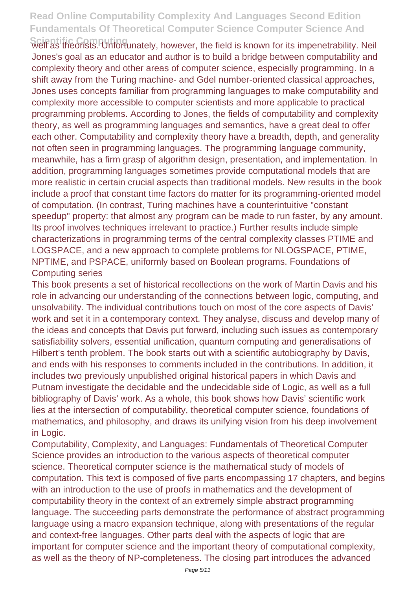Scientific Computing<br>Well as theorists. Unfortunately, however, the field is known for its impenetrability. Neil Jones's goal as an educator and author is to build a bridge between computability and complexity theory and other areas of computer science, especially programming. In a shift away from the Turing machine- and Gdel number-oriented classical approaches, Jones uses concepts familiar from programming languages to make computability and complexity more accessible to computer scientists and more applicable to practical programming problems. According to Jones, the fields of computability and complexity theory, as well as programming languages and semantics, have a great deal to offer each other. Computability and complexity theory have a breadth, depth, and generality not often seen in programming languages. The programming language community, meanwhile, has a firm grasp of algorithm design, presentation, and implementation. In addition, programming languages sometimes provide computational models that are more realistic in certain crucial aspects than traditional models. New results in the book include a proof that constant time factors do matter for its programming-oriented model of computation. (In contrast, Turing machines have a counterintuitive "constant speedup" property: that almost any program can be made to run faster, by any amount. Its proof involves techniques irrelevant to practice.) Further results include simple characterizations in programming terms of the central complexity classes PTIME and LOGSPACE, and a new approach to complete problems for NLOGSPACE, PTIME, NPTIME, and PSPACE, uniformly based on Boolean programs. Foundations of Computing series

This book presents a set of historical recollections on the work of Martin Davis and his role in advancing our understanding of the connections between logic, computing, and unsolvability. The individual contributions touch on most of the core aspects of Davis' work and set it in a contemporary context. They analyse, discuss and develop many of the ideas and concepts that Davis put forward, including such issues as contemporary satisfiability solvers, essential unification, quantum computing and generalisations of Hilbert's tenth problem. The book starts out with a scientific autobiography by Davis, and ends with his responses to comments included in the contributions. In addition, it includes two previously unpublished original historical papers in which Davis and Putnam investigate the decidable and the undecidable side of Logic, as well as a full bibliography of Davis' work. As a whole, this book shows how Davis' scientific work lies at the intersection of computability, theoretical computer science, foundations of mathematics, and philosophy, and draws its unifying vision from his deep involvement in Logic.

Computability, Complexity, and Languages: Fundamentals of Theoretical Computer Science provides an introduction to the various aspects of theoretical computer science. Theoretical computer science is the mathematical study of models of computation. This text is composed of five parts encompassing 17 chapters, and begins with an introduction to the use of proofs in mathematics and the development of computability theory in the context of an extremely simple abstract programming language. The succeeding parts demonstrate the performance of abstract programming language using a macro expansion technique, along with presentations of the regular and context-free languages. Other parts deal with the aspects of logic that are important for computer science and the important theory of computational complexity, as well as the theory of NP-completeness. The closing part introduces the advanced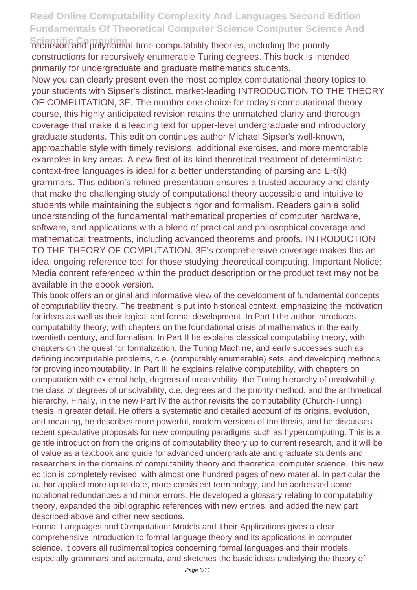Scientific Computing al-time computability theories, including the priority constructions for recursively enumerable Turing degrees. This book is intended primarily for undergraduate and graduate mathematics students.

Now you can clearly present even the most complex computational theory topics to your students with Sipser's distinct, market-leading INTRODUCTION TO THE THEORY OF COMPUTATION, 3E. The number one choice for today's computational theory course, this highly anticipated revision retains the unmatched clarity and thorough coverage that make it a leading text for upper-level undergraduate and introductory graduate students. This edition continues author Michael Sipser's well-known, approachable style with timely revisions, additional exercises, and more memorable examples in key areas. A new first-of-its-kind theoretical treatment of deterministic context-free languages is ideal for a better understanding of parsing and LR(k) grammars. This edition's refined presentation ensures a trusted accuracy and clarity that make the challenging study of computational theory accessible and intuitive to students while maintaining the subject's rigor and formalism. Readers gain a solid understanding of the fundamental mathematical properties of computer hardware, software, and applications with a blend of practical and philosophical coverage and mathematical treatments, including advanced theorems and proofs. INTRODUCTION TO THE THEORY OF COMPUTATION, 3E's comprehensive coverage makes this an ideal ongoing reference tool for those studying theoretical computing. Important Notice: Media content referenced within the product description or the product text may not be available in the ebook version.

This book offers an original and informative view of the development of fundamental concepts of computability theory. The treatment is put into historical context, emphasizing the motivation for ideas as well as their logical and formal development. In Part I the author introduces computability theory, with chapters on the foundational crisis of mathematics in the early twentieth century, and formalism. In Part II he explains classical computability theory, with chapters on the quest for formalization, the Turing Machine, and early successes such as defining incomputable problems, c.e. (computably enumerable) sets, and developing methods for proving incomputability. In Part III he explains relative computability, with chapters on computation with external help, degrees of unsolvability, the Turing hierarchy of unsolvability, the class of degrees of unsolvability, c.e. degrees and the priority method, and the arithmetical hierarchy. Finally, in the new Part IV the author revisits the computability (Church-Turing) thesis in greater detail. He offers a systematic and detailed account of its origins, evolution, and meaning, he describes more powerful, modern versions of the thesis, and he discusses recent speculative proposals for new computing paradigms such as hypercomputing. This is a gentle introduction from the origins of computability theory up to current research, and it will be of value as a textbook and guide for advanced undergraduate and graduate students and researchers in the domains of computability theory and theoretical computer science. This new edition is completely revised, with almost one hundred pages of new material. In particular the author applied more up-to-date, more consistent terminology, and he addressed some notational redundancies and minor errors. He developed a glossary relating to computability theory, expanded the bibliographic references with new entries, and added the new part described above and other new sections.

Formal Languages and Computation: Models and Their Applications gives a clear, comprehensive introduction to formal language theory and its applications in computer science. It covers all rudimental topics concerning formal languages and their models, especially grammars and automata, and sketches the basic ideas underlying the theory of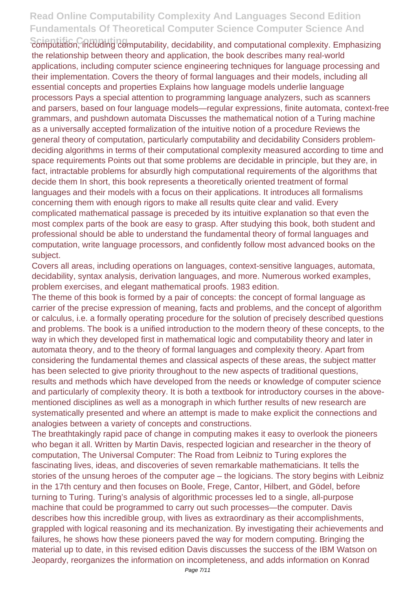Scientific Computation, including computability, decidability, and computational complexity. Emphasizing the relationship between theory and application, the book describes many real-world applications, including computer science engineering techniques for language processing and their implementation. Covers the theory of formal languages and their models, including all essential concepts and properties Explains how language models underlie language processors Pays a special attention to programming language analyzers, such as scanners and parsers, based on four language models—regular expressions, finite automata, context-free grammars, and pushdown automata Discusses the mathematical notion of a Turing machine as a universally accepted formalization of the intuitive notion of a procedure Reviews the general theory of computation, particularly computability and decidability Considers problemdeciding algorithms in terms of their computational complexity measured according to time and space requirements Points out that some problems are decidable in principle, but they are, in fact, intractable problems for absurdly high computational requirements of the algorithms that decide them In short, this book represents a theoretically oriented treatment of formal languages and their models with a focus on their applications. It introduces all formalisms concerning them with enough rigors to make all results quite clear and valid. Every complicated mathematical passage is preceded by its intuitive explanation so that even the most complex parts of the book are easy to grasp. After studying this book, both student and professional should be able to understand the fundamental theory of formal languages and computation, write language processors, and confidently follow most advanced books on the subject.

Covers all areas, including operations on languages, context-sensitive languages, automata, decidability, syntax analysis, derivation languages, and more. Numerous worked examples, problem exercises, and elegant mathematical proofs. 1983 edition.

The theme of this book is formed by a pair of concepts: the concept of formal language as carrier of the precise expression of meaning, facts and problems, and the concept of algorithm or calculus, i.e. a formally operating procedure for the solution of precisely described questions and problems. The book is a unified introduction to the modern theory of these concepts, to the way in which they developed first in mathematical logic and computability theory and later in automata theory, and to the theory of formal languages and complexity theory. Apart from considering the fundamental themes and classical aspects of these areas, the subject matter has been selected to give priority throughout to the new aspects of traditional questions, results and methods which have developed from the needs or knowledge of computer science and particularly of complexity theory. It is both a textbook for introductory courses in the abovementioned disciplines as well as a monograph in which further results of new research are systematically presented and where an attempt is made to make explicit the connections and analogies between a variety of concepts and constructions.

The breathtakingly rapid pace of change in computing makes it easy to overlook the pioneers who began it all. Written by Martin Davis, respected logician and researcher in the theory of computation, The Universal Computer: The Road from Leibniz to Turing explores the fascinating lives, ideas, and discoveries of seven remarkable mathematicians. It tells the stories of the unsung heroes of the computer age – the logicians. The story begins with Leibniz in the 17th century and then focuses on Boole, Frege, Cantor, Hilbert, and Gödel, before turning to Turing. Turing's analysis of algorithmic processes led to a single, all-purpose machine that could be programmed to carry out such processes—the computer. Davis describes how this incredible group, with lives as extraordinary as their accomplishments, grappled with logical reasoning and its mechanization. By investigating their achievements and failures, he shows how these pioneers paved the way for modern computing. Bringing the material up to date, in this revised edition Davis discusses the success of the IBM Watson on Jeopardy, reorganizes the information on incompleteness, and adds information on Konrad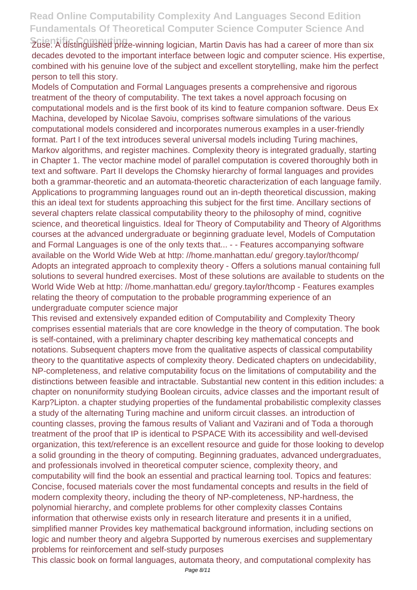**Scientific Computing** Zuse. A distinguished prize-winning logician, Martin Davis has had a career of more than six decades devoted to the important interface between logic and computer science. His expertise, combined with his genuine love of the subject and excellent storytelling, make him the perfect person to tell this story.

Models of Computation and Formal Languages presents a comprehensive and rigorous treatment of the theory of computability. The text takes a novel approach focusing on computational models and is the first book of its kind to feature companion software. Deus Ex Machina, developed by Nicolae Savoiu, comprises software simulations of the various computational models considered and incorporates numerous examples in a user-friendly format. Part I of the text introduces several universal models including Turing machines, Markov algorithms, and register machines. Complexity theory is integrated gradually, starting in Chapter 1. The vector machine model of parallel computation is covered thoroughly both in text and software. Part II develops the Chomsky hierarchy of formal languages and provides both a grammar-theoretic and an automata-theoretic characterization of each language family. Applications to programming languages round out an in-depth theoretical discussion, making this an ideal text for students approaching this subject for the first time. Ancillary sections of several chapters relate classical computability theory to the philosophy of mind, cognitive science, and theoretical linguistics. Ideal for Theory of Computability and Theory of Algorithms courses at the advanced undergraduate or beginning graduate level, Models of Computation and Formal Languages is one of the only texts that... - - Features accompanying software available on the World Wide Web at http: //home.manhattan.edu/ gregory.taylor/thcomp/ Adopts an integrated approach to complexity theory - Offers a solutions manual containing full solutions to several hundred exercises. Most of these solutions are available to students on the World Wide Web at http: //home.manhattan.edu/ gregory.taylor/thcomp - Features examples relating the theory of computation to the probable programming experience of an undergraduate computer science major

This revised and extensively expanded edition of Computability and Complexity Theory comprises essential materials that are core knowledge in the theory of computation. The book is self-contained, with a preliminary chapter describing key mathematical concepts and notations. Subsequent chapters move from the qualitative aspects of classical computability theory to the quantitative aspects of complexity theory. Dedicated chapters on undecidability, NP-completeness, and relative computability focus on the limitations of computability and the distinctions between feasible and intractable. Substantial new content in this edition includes: a chapter on nonuniformity studying Boolean circuits, advice classes and the important result of Karp?Lipton. a chapter studying properties of the fundamental probabilistic complexity classes a study of the alternating Turing machine and uniform circuit classes. an introduction of counting classes, proving the famous results of Valiant and Vazirani and of Toda a thorough treatment of the proof that IP is identical to PSPACE With its accessibility and well-devised organization, this text/reference is an excellent resource and guide for those looking to develop a solid grounding in the theory of computing. Beginning graduates, advanced undergraduates, and professionals involved in theoretical computer science, complexity theory, and computability will find the book an essential and practical learning tool. Topics and features: Concise, focused materials cover the most fundamental concepts and results in the field of modern complexity theory, including the theory of NP-completeness, NP-hardness, the polynomial hierarchy, and complete problems for other complexity classes Contains information that otherwise exists only in research literature and presents it in a unified, simplified manner Provides key mathematical background information, including sections on logic and number theory and algebra Supported by numerous exercises and supplementary problems for reinforcement and self-study purposes

This classic book on formal languages, automata theory, and computational complexity has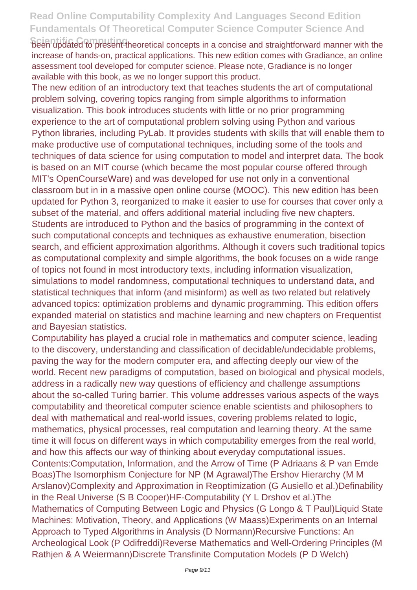**Scientificated to present theoretical concepts in a concise and straightforward manner with the** increase of hands-on, practical applications. This new edition comes with Gradiance, an online assessment tool developed for computer science. Please note, Gradiance is no longer available with this book, as we no longer support this product.

The new edition of an introductory text that teaches students the art of computational problem solving, covering topics ranging from simple algorithms to information visualization. This book introduces students with little or no prior programming experience to the art of computational problem solving using Python and various Python libraries, including PyLab. It provides students with skills that will enable them to make productive use of computational techniques, including some of the tools and techniques of data science for using computation to model and interpret data. The book is based on an MIT course (which became the most popular course offered through MIT's OpenCourseWare) and was developed for use not only in a conventional classroom but in in a massive open online course (MOOC). This new edition has been updated for Python 3, reorganized to make it easier to use for courses that cover only a subset of the material, and offers additional material including five new chapters. Students are introduced to Python and the basics of programming in the context of such computational concepts and techniques as exhaustive enumeration, bisection search, and efficient approximation algorithms. Although it covers such traditional topics as computational complexity and simple algorithms, the book focuses on a wide range of topics not found in most introductory texts, including information visualization, simulations to model randomness, computational techniques to understand data, and statistical techniques that inform (and misinform) as well as two related but relatively advanced topics: optimization problems and dynamic programming. This edition offers expanded material on statistics and machine learning and new chapters on Frequentist and Bayesian statistics.

Computability has played a crucial role in mathematics and computer science, leading to the discovery, understanding and classification of decidable/undecidable problems, paving the way for the modern computer era, and affecting deeply our view of the world. Recent new paradigms of computation, based on biological and physical models, address in a radically new way questions of efficiency and challenge assumptions about the so-called Turing barrier. This volume addresses various aspects of the ways computability and theoretical computer science enable scientists and philosophers to deal with mathematical and real-world issues, covering problems related to logic, mathematics, physical processes, real computation and learning theory. At the same time it will focus on different ways in which computability emerges from the real world, and how this affects our way of thinking about everyday computational issues. Contents:Computation, Information, and the Arrow of Time (P Adriaans & P van Emde Boas)The Isomorphism Conjecture for NP (M Agrawal)The Ershov Hierarchy (M M Arslanov)Complexity and Approximation in Reoptimization (G Ausiello et al.)Definability in the Real Universe (S B Cooper)HF-Computability (Y L Drshov et al.)The Mathematics of Computing Between Logic and Physics (G Longo & T Paul)Liquid State Machines: Motivation, Theory, and Applications (W Maass)Experiments on an Internal Approach to Typed Algorithms in Analysis (D Normann)Recursive Functions: An Archeological Look (P Odifreddi)Reverse Mathematics and Well-Ordering Principles (M Rathjen & A Weiermann)Discrete Transfinite Computation Models (P D Welch)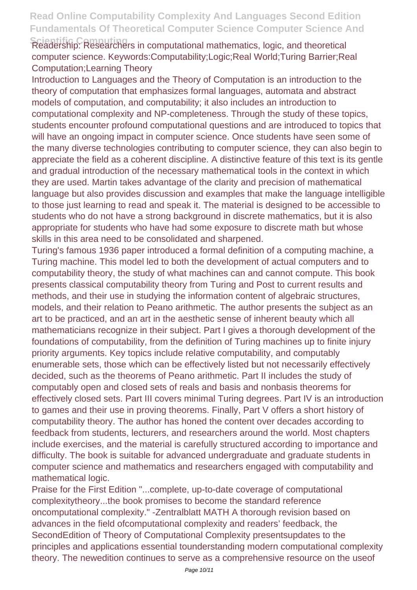**Scientific Computing** Readership: Researchers in computational mathematics, logic, and theoretical computer science. Keywords:Computability;Logic;Real World;Turing Barrier;Real Computation;Learning Theory

Introduction to Languages and the Theory of Computation is an introduction to the theory of computation that emphasizes formal languages, automata and abstract models of computation, and computability; it also includes an introduction to computational complexity and NP-completeness. Through the study of these topics, students encounter profound computational questions and are introduced to topics that will have an ongoing impact in computer science. Once students have seen some of the many diverse technologies contributing to computer science, they can also begin to appreciate the field as a coherent discipline. A distinctive feature of this text is its gentle and gradual introduction of the necessary mathematical tools in the context in which they are used. Martin takes advantage of the clarity and precision of mathematical language but also provides discussion and examples that make the language intelligible to those just learning to read and speak it. The material is designed to be accessible to students who do not have a strong background in discrete mathematics, but it is also appropriate for students who have had some exposure to discrete math but whose skills in this area need to be consolidated and sharpened.

Turing's famous 1936 paper introduced a formal definition of a computing machine, a Turing machine. This model led to both the development of actual computers and to computability theory, the study of what machines can and cannot compute. This book presents classical computability theory from Turing and Post to current results and methods, and their use in studying the information content of algebraic structures, models, and their relation to Peano arithmetic. The author presents the subject as an art to be practiced, and an art in the aesthetic sense of inherent beauty which all mathematicians recognize in their subject. Part I gives a thorough development of the foundations of computability, from the definition of Turing machines up to finite injury priority arguments. Key topics include relative computability, and computably enumerable sets, those which can be effectively listed but not necessarily effectively decided, such as the theorems of Peano arithmetic. Part II includes the study of computably open and closed sets of reals and basis and nonbasis theorems for effectively closed sets. Part III covers minimal Turing degrees. Part IV is an introduction to games and their use in proving theorems. Finally, Part V offers a short history of computability theory. The author has honed the content over decades according to feedback from students, lecturers, and researchers around the world. Most chapters include exercises, and the material is carefully structured according to importance and difficulty. The book is suitable for advanced undergraduate and graduate students in computer science and mathematics and researchers engaged with computability and mathematical logic.

Praise for the First Edition "...complete, up-to-date coverage of computational complexitytheory...the book promises to become the standard reference oncomputational complexity." -Zentralblatt MATH A thorough revision based on advances in the field ofcomputational complexity and readers' feedback, the SecondEdition of Theory of Computational Complexity presentsupdates to the principles and applications essential tounderstanding modern computational complexity theory. The newedition continues to serve as a comprehensive resource on the useof